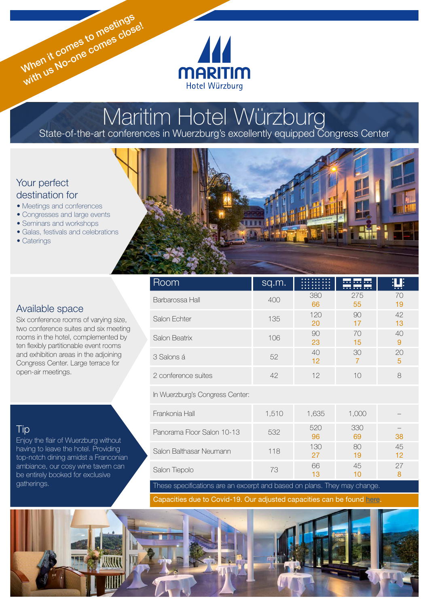

# Maritim Hotel Würzburg State-of-the-art conferences in Wuerzburg's excellently equipped Congress Center

## Your perfect destination for

- Meetings and conferences
- Congresses and large events
- Seminars and workshops
- Galas, festivals and celebrations

When it comes to meetings When it comes to meetinge!

• Caterings

## Available space

Six conference rooms of varying size, two conference suites and six meeting rooms in the hotel, complemented by ten flexibly partitionable event rooms and exhibition areas in the adjoining Congress Center. Large terrace for open-air meetings.

# Tip

Enjoy the flair of Wuerzburg without having to leave the hotel. Providing top-notch dining amidst a Franconian ambiance, our cosy wine tavern can be entirely booked for exclusive gatherings.



| Room                            | sq.m. |           | <br><del>.</del> |          |
|---------------------------------|-------|-----------|------------------|----------|
| Barbarossa Hall                 | 400   | 380<br>66 | 275<br>55        | 70<br>19 |
| Salon Echter                    | 135   | 120<br>20 | 90<br>17         | 42<br>13 |
| Salon Beatrix                   | 106   | 90<br>23  | 70<br>15         | 40<br>9  |
| 3 Salons á                      | 52    | 40<br>12  | 30               | 20<br>5  |
| 2 conference suites             | 42    | 12        | 10               | 8        |
| In Wuerzburg's Congress Center: |       |           |                  |          |

| Frankonia Hall             | 1,510 | 1,635     | 1,000     |          |
|----------------------------|-------|-----------|-----------|----------|
| Panorama Floor Salon 10-13 | 532   | 520<br>96 | 330<br>69 | 38       |
| Salon Balthasar Neumann    | 118   | 130<br>27 | 80<br>19  | 45<br>12 |
| Salon Tiepolo              | 73    | 66        | 45        | 27       |

These specifications are an excerpt and based on plans. They may change.

Capacities due to Covid-19. Our adjusted capacities can be found [here](https://www.maritim.de/fileadmin/user_upload/Allgemein/Prospekte/Tagungsplaner.pdf).